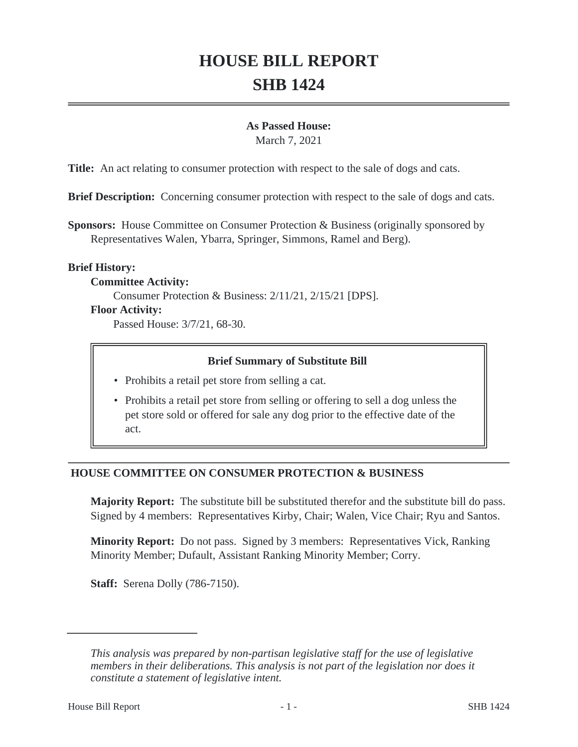# **HOUSE BILL REPORT SHB 1424**

#### **As Passed House:**

March 7, 2021

**Title:** An act relating to consumer protection with respect to the sale of dogs and cats.

**Brief Description:** Concerning consumer protection with respect to the sale of dogs and cats.

**Sponsors:** House Committee on Consumer Protection & Business (originally sponsored by Representatives Walen, Ybarra, Springer, Simmons, Ramel and Berg).

#### **Brief History:**

#### **Committee Activity:**

Consumer Protection & Business: 2/11/21, 2/15/21 [DPS].

#### **Floor Activity:**

Passed House: 3/7/21, 68-30.

#### **Brief Summary of Substitute Bill**

- Prohibits a retail pet store from selling a cat.
- Prohibits a retail pet store from selling or offering to sell a dog unless the pet store sold or offered for sale any dog prior to the effective date of the act.

#### **HOUSE COMMITTEE ON CONSUMER PROTECTION & BUSINESS**

**Majority Report:** The substitute bill be substituted therefor and the substitute bill do pass. Signed by 4 members: Representatives Kirby, Chair; Walen, Vice Chair; Ryu and Santos.

**Minority Report:** Do not pass. Signed by 3 members: Representatives Vick, Ranking Minority Member; Dufault, Assistant Ranking Minority Member; Corry.

**Staff:** Serena Dolly (786-7150).

*This analysis was prepared by non-partisan legislative staff for the use of legislative members in their deliberations. This analysis is not part of the legislation nor does it constitute a statement of legislative intent.*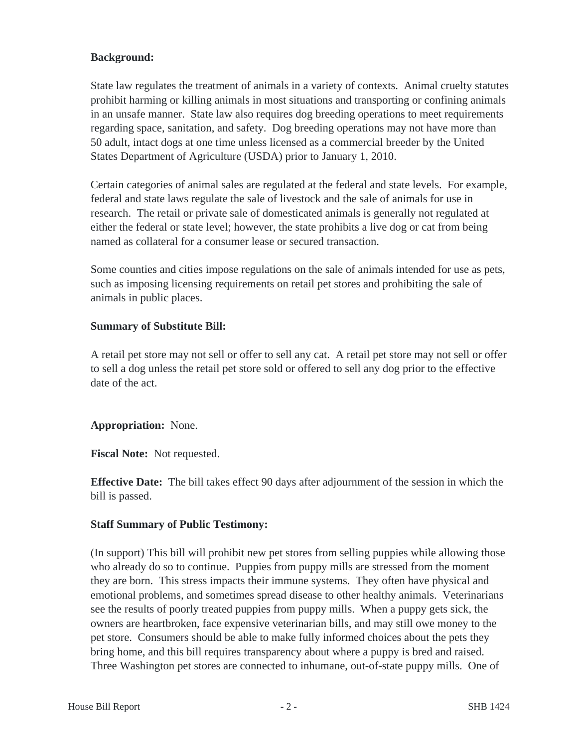## **Background:**

State law regulates the treatment of animals in a variety of contexts. Animal cruelty statutes prohibit harming or killing animals in most situations and transporting or confining animals in an unsafe manner. State law also requires dog breeding operations to meet requirements regarding space, sanitation, and safety. Dog breeding operations may not have more than 50 adult, intact dogs at one time unless licensed as a commercial breeder by the United States Department of Agriculture (USDA) prior to January 1, 2010.

Certain categories of animal sales are regulated at the federal and state levels. For example, federal and state laws regulate the sale of livestock and the sale of animals for use in research. The retail or private sale of domesticated animals is generally not regulated at either the federal or state level; however, the state prohibits a live dog or cat from being named as collateral for a consumer lease or secured transaction.

Some counties and cities impose regulations on the sale of animals intended for use as pets, such as imposing licensing requirements on retail pet stores and prohibiting the sale of animals in public places.

## **Summary of Substitute Bill:**

A retail pet store may not sell or offer to sell any cat. A retail pet store may not sell or offer to sell a dog unless the retail pet store sold or offered to sell any dog prior to the effective date of the act.

## **Appropriation:** None.

**Fiscal Note:** Not requested.

**Effective Date:** The bill takes effect 90 days after adjournment of the session in which the bill is passed.

## **Staff Summary of Public Testimony:**

(In support) This bill will prohibit new pet stores from selling puppies while allowing those who already do so to continue. Puppies from puppy mills are stressed from the moment they are born. This stress impacts their immune systems. They often have physical and emotional problems, and sometimes spread disease to other healthy animals. Veterinarians see the results of poorly treated puppies from puppy mills. When a puppy gets sick, the owners are heartbroken, face expensive veterinarian bills, and may still owe money to the pet store. Consumers should be able to make fully informed choices about the pets they bring home, and this bill requires transparency about where a puppy is bred and raised. Three Washington pet stores are connected to inhumane, out-of-state puppy mills. One of